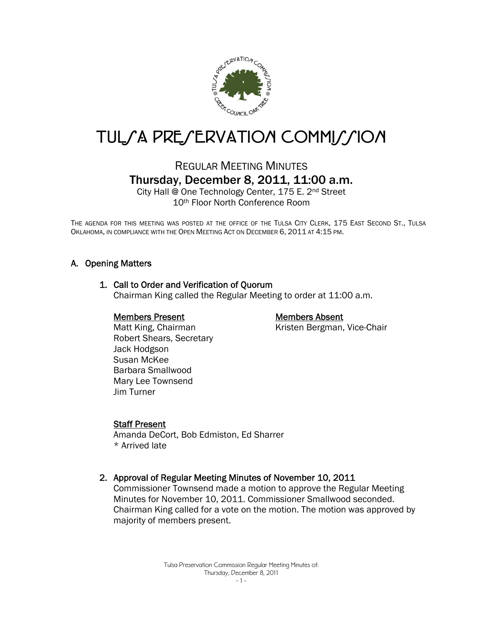

# TUL/A PRE/ERVATION COMMI//ION

## REGULAR MEETING MINUTES Thursday, December 8, 2011, 11:00 a.m.

City Hall @ One Technology Center, 175 E. 2nd Street 10th Floor North Conference Room

THE AGENDA FOR THIS MEETING WAS POSTED AT THE OFFICE OF THE TULSA CITY CLERK, 175 EAST SECOND ST., TULSA OKLAHOMA, IN COMPLIANCE WITH THE OPEN MEETING ACT ON DECEMBER 6, 2011 AT 4:15 PM.

#### A. Opening Matters

#### 1. Call to Order and Verification of Quorum

Chairman King called the Regular Meeting to order at 11:00 a.m.

#### Members Present

### Members Absent

Kristen Bergman, Vice-Chair

 Matt King, Chairman Robert Shears, Secretary Jack Hodgson Susan McKee Barbara Smallwood Mary Lee Townsend Jim Turner

#### Staff Present

Amanda DeCort, Bob Edmiston, Ed Sharrer \* Arrived late

2. Approval of Regular Meeting Minutes of November 10, 2011

Commissioner Townsend made a motion to approve the Regular Meeting Minutes for November 10, 2011. Commissioner Smallwood seconded. Chairman King called for a vote on the motion. The motion was approved by majority of members present.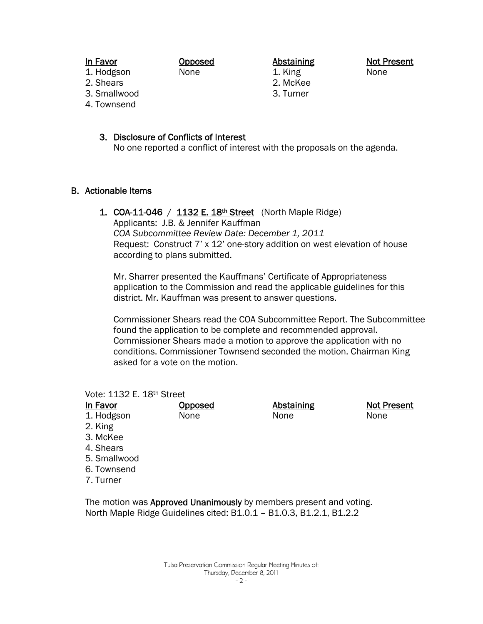1. Hodgson 2. Shears

- 3. Smallwood
- 4. Townsend

Abstaining 1. King 2. McKee 3. Turner

Not Present None

Not Present

None

- -
- 3. Disclosure of Conflicts of Interest

Opposed None

No one reported a conflict of interest with the proposals on the agenda.

#### B. Actionable Items

1. COA-11-046 /  $1132 E. 18<sup>th</sup> Street$  (North Maple Ridge) Applicants: J.B. & Jennifer Kauffman *COA Subcommittee Review Date: December 1, 2011*  Request: Construct 7' x 12' one-story addition on west elevation of house according to plans submitted.

Mr. Sharrer presented the Kauffmans' Certificate of Appropriateness application to the Commission and read the applicable guidelines for this district. Mr. Kauffman was present to answer questions.

Commissioner Shears read the COA Subcommittee Report. The Subcommittee found the application to be complete and recommended approval. Commissioner Shears made a motion to approve the application with no conditions. Commissioner Townsend seconded the motion. Chairman King asked for a vote on the motion.

> Abstaining None

#### Vote: 1132 E. 18th Street In Favor

| ιιι ravor  |
|------------|
| 1. Hodgson |

- 2. King
- 3. McKee
- 4. Shears
- 5. Smallwood
- 6. Townsend
- 7. Turner

The motion was Approved Unanimously by members present and voting. North Maple Ridge Guidelines cited: B1.0.1 – B1.0.3, B1.2.1, B1.2.2

**Opposed** None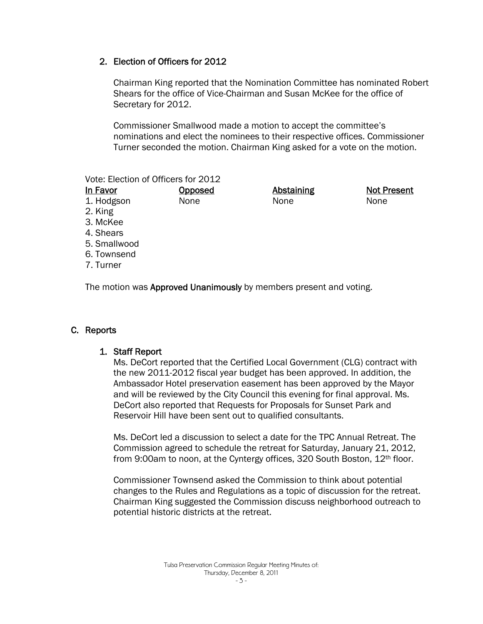#### 2. Election of Officers for 2012

Chairman King reported that the Nomination Committee has nominated Robert Shears for the office of Vice-Chairman and Susan McKee for the office of Secretary for 2012.

Commissioner Smallwood made a motion to accept the committee's nominations and elect the nominees to their respective offices. Commissioner Turner seconded the motion. Chairman King asked for a vote on the motion.

Vote: Election of Officers for 2012

| In Favor   | <b>Opposed</b> | <b>Abstaining</b> | <b>Not Present</b> |
|------------|----------------|-------------------|--------------------|
| 1. Hodgson | None           | None              | None               |
| 2. King    |                |                   |                    |
| $2$ Malson |                |                   |                    |

- 3. McKee
- 4. Shears
- 5. Smallwood
- 6. Townsend
- 7. Turner

The motion was **Approved Unanimously** by members present and voting.

#### C. Reports

#### 1. Staff Report

Ms. DeCort reported that the Certified Local Government (CLG) contract with the new 2011-2012 fiscal year budget has been approved. In addition, the Ambassador Hotel preservation easement has been approved by the Mayor and will be reviewed by the City Council this evening for final approval. Ms. DeCort also reported that Requests for Proposals for Sunset Park and Reservoir Hill have been sent out to qualified consultants.

Ms. DeCort led a discussion to select a date for the TPC Annual Retreat. The Commission agreed to schedule the retreat for Saturday, January 21, 2012, from 9:00am to noon, at the Cyntergy offices, 320 South Boston, 12th floor.

Commissioner Townsend asked the Commission to think about potential changes to the Rules and Regulations as a topic of discussion for the retreat. Chairman King suggested the Commission discuss neighborhood outreach to potential historic districts at the retreat.